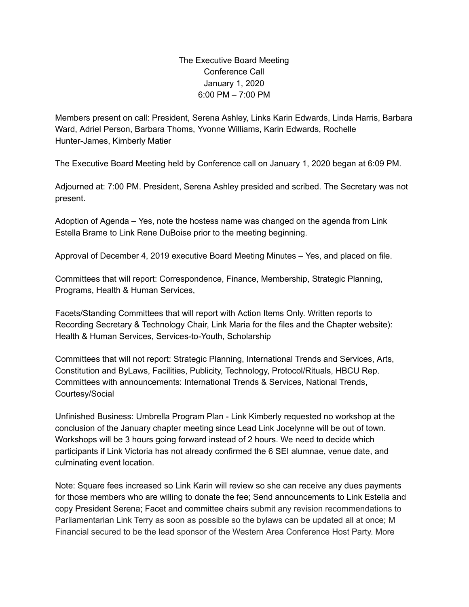## The Executive Board Meeting Conference Call January 1, 2020 6:00 PM – 7:00 PM

Members present on call: President, Serena Ashley, Links Karin Edwards, Linda Harris, Barbara Ward, Adriel Person, Barbara Thoms, Yvonne Williams, Karin Edwards, Rochelle Hunter-James, Kimberly Matier

The Executive Board Meeting held by Conference call on January 1, 2020 began at 6:09 PM.

Adjourned at: 7:00 PM. President, Serena Ashley presided and scribed. The Secretary was not present.

Adoption of Agenda – Yes, note the hostess name was changed on the agenda from Link Estella Brame to Link Rene DuBoise prior to the meeting beginning.

Approval of December 4, 2019 executive Board Meeting Minutes – Yes, and placed on file.

Committees that will report: Correspondence, Finance, Membership, Strategic Planning, Programs, Health & Human Services,

Facets/Standing Committees that will report with Action Items Only. Written reports to Recording Secretary & Technology Chair, Link Maria for the files and the Chapter website): Health & Human Services, Services-to-Youth, Scholarship

Committees that will not report: Strategic Planning, International Trends and Services, Arts, Constitution and ByLaws, Facilities, Publicity, Technology, Protocol/Rituals, HBCU Rep. Committees with announcements: International Trends & Services, National Trends, Courtesy/Social

Unfinished Business: Umbrella Program Plan - Link Kimberly requested no workshop at the conclusion of the January chapter meeting since Lead Link Jocelynne will be out of town. Workshops will be 3 hours going forward instead of 2 hours. We need to decide which participants if Link Victoria has not already confirmed the 6 SEI alumnae, venue date, and culminating event location.

Note: Square fees increased so Link Karin will review so she can receive any dues payments for those members who are willing to donate the fee; Send announcements to Link Estella and copy President Serena; Facet and committee chairs submit any revision recommendations to Parliamentarian Link Terry as soon as possible so the bylaws can be updated all at once; M Financial secured to be the lead sponsor of the Western Area Conference Host Party. More